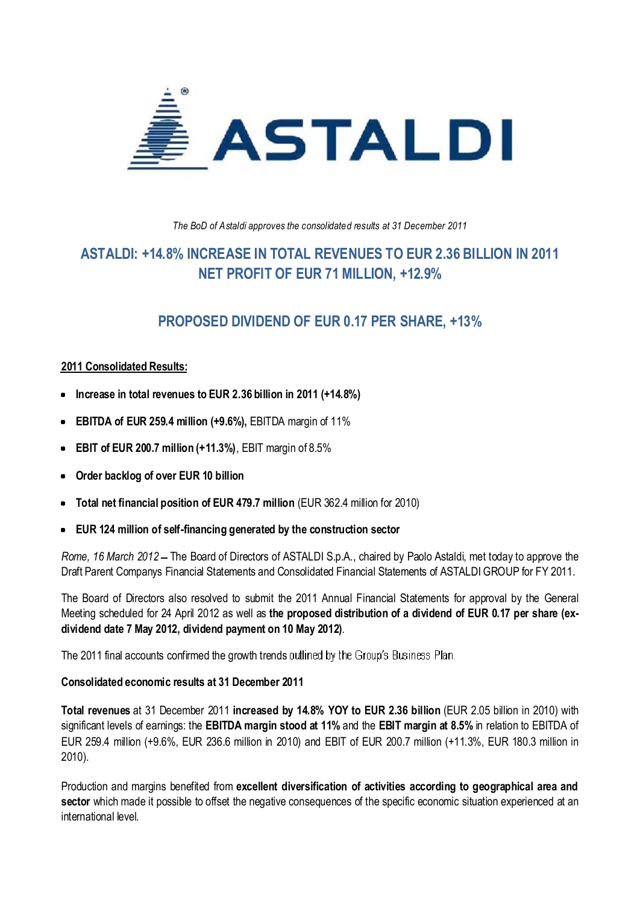

The BoD of Astaldi approves the consolidated results at 31 December 2011

## **+14.8% INCREASE IN TOTAL REVENUES TO EUR 2.36 BILLION IN 2011 PROFIT OF EUR <sup>71</sup> MILLION, +12.9%**

### **DIVIDEND OF EUR 0.17 PER SHARE, +13%**

## **Consolidated Results: Increase**

- <u>reference to thal</u><br>Increase in total revenues to EUR 2.36 billion in 2011 (+14.8%)
- **of EUR 259.4 million (+9.6%),** EBITDA margin of 11% **EBIT**
- **EBITDA of EUR 259.4 million (+9.6%),** EBITDA margin or T<br>**EBIT of EUR 200.7 million (+11.3%)**, EBIT margin of 8.5%
- **backlog of over EUR <sup>10</sup> billion Total**
- **net financial position of EUR 479.7 million** (EUR 362.4 million for 2010) **EUR**
- **10tal net financial position of EUR 479.7 million** (EUR 362.4 million for 2<br>■ EUR 124 million of self-financing generated by the construction sector

● EUR 124 million of self-financing generated by the construction sector<br>*Rome, 16 March 2012* – The Board of Directors of ASTALDI S.p.A., chaired by Paolo Astaldi, met today to approve the<br>Draft Parent Companys Financial Draft Parent Companys Financial Statements and Consolidated Financial Statements of ASTALDI GROUP for FY 2011.

Drant Parent Companys Financial Statements and Consolidated Financial Statements of ASTALDI GROUP for FY 2011.<br>The Board of Directors also resolved to submit the 2011 Annual Financial Statements for approval by the General **dividend date <sup>7</sup> May 2012, dividend payment on <sup>10</sup> May 2012)**. dividend date 7 May 2012, dividend payment on 10 May 2012).

arvidend date 7 may 2012, dividend payment on 1<br>The 2011 final accounts confirmed the growth trends

# rie 2011 final accounts committed the growth trends out<br>**Consolidated economic results at 31 December 2011**

Consondated economic results at 31 December 2011<br>Total revenues at 31 December 2011 increased by 14.8% YOY to EUR 2.36 billion (EUR 2.05 billion in 2010) with<br>significant levels of earnings: the EBITDA margin stood at 11% EUR 259.4 million (+9.6%, EUR 236.6 million in 2010) and EBIT of EUR 200.7 million (+11.3%, EUR 180.3 million in<br>EUR 259.4 million (+9.6%, EUR 236.6 million in 2010) and EBIT of EUR 200.7 million (+11.3%, EUR 180.3 million EUR 259.4 million (+9.6%, EUR 236.6 million in 2010) and EBIT of EUR 200.7 million (+11.3%, EUR 180.3 million in  $2010$ ).

בטרט).<br>Production and margins benefited from **excellent diversification of activities according to geographical area and**<br>sector which made it possible to offset the negative consequences of the specific economic situatio internation and mi<br>sector which mad<br>international level.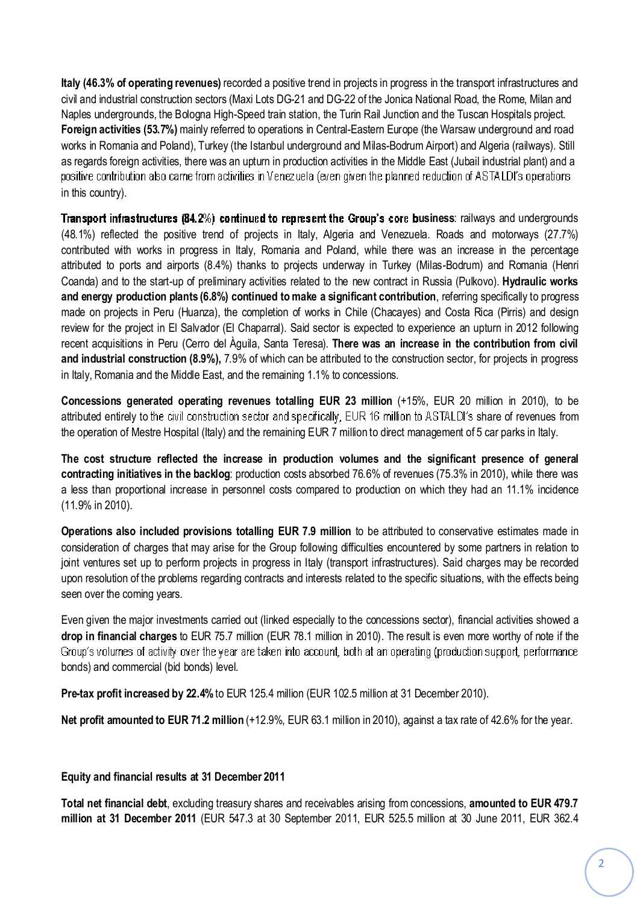**Italy (46.3% of operating revenues)** recorded a positive trend in projects in progress in the transport infrastructures and<br>civil and industrial construction sectors (Maxi Lots DG-21 and DG-22 of the Jonica National Road, Naples undergrounds, the Bologna High-Speed train station, the Turin Rail Junction and the Tuscan Hospitals project.<br>Naples undergrounds, the Bologna High-Speed train station, the Turin Rail Junction and the Tuscan Hospita **Foreign activities (53.7%)** mainly referred to operations in Central-Eastern Europe (the Warsaw undergrounds, the Bologna High-Speed train station, the Turin Rail Junction and the Tuscan Hospitals project.<br>**Foreign activi** wapted analygicanally, the Delegha might opede team etation, the Turkin Rail denoted and the Tubeal Program project<br>Foreign activities (53.7%) mainly referred to operations in Central-Eastern Europe (the Warsaw underground as regards foreign activities, there was an upturn in production activities in the Middle East (Jubail industrial plant) and a<br>as regards foreign activities, there was an upturn in production activities in the Middle East achogarachono.<br>positive contribi<br>in this country).

in this country).<br>**Transport infrastructures (84.2**%) **continued to represent the Group's core business**: railways and undergrounds<br>(48.1%) reflected the positive trend of projects in Italy. Algeria and Venezuela. Roads an contributed with works in progress in Italy, Romania and Poland, while there was an increase in the percentage<br>Contributed with works in progress in Italy, Romania and Poland, while there was an increase in the percentage attributed with works in progress in Italy, Romania and Poland, while there was an increase in the percentage<br>attributed to ports and airports (8.4%) thanks to projects underway in Turkey (Milas-Bodrum) and Romania (Henri Coanda) and to the start-up of preliminary activities related to the new contract in Russia (Pulkovo). **Hydraulic works Coanda)** and to the start-up of preliminary activities related to the new contract in Russia (Pulkovo). **Hydraulic works** and energy production plants (6.8%) continued to make a significant contribution. referring specifi beama) and to the start up or prominingly address related to the hermodeline reasonal (Function). Hydratine works<br>and energy production plants (6.8%) continued to make a significant contribution, referring specifically to and one projects in Peru (Huanza), the completion of works in Chile (Chacayes) and Costa Rica (Pirris) and design<br>review for the project in El Salvador (El Chaparral). Said sector is expected to experience an upturn in 201 review for the project in El Salvador (El Chaparral). Said sector is expected to experience an upturn in 2012 following<br>recent acquisitions in Peru (Cerro del Àquila, Santa Teresa). **There was an increase in the contributi and industrial construction (8.9%),** 7.9% of which can be attributed to the construction sector, for projects in progress and industrial construction (8.9%), 7.9% of which can be attributed to the construction sector, for Italy, Romania and the Middle East, and the remaining 1.1% to concessions.<br>In Italy, Romania and the Middle East, and the remaining 1.1% to concessions. in Italy, Romania and the Middle East, and the remaining 1.1% to concessions.

in Italy, Romania and the Middle East, and the remaining 1.1% to concessions.<br>Concessions generated operating revenues totalling EUR 23 million (+15%, EUR 20 million in 2010), to be<br>attributed entirely to the civil constru The operation of Mestre Hospital (Italy) and the remaining EUR 7 million to ASTALDI's share of revenues<br>The operation of Mestre Hospital (Italy) and the remaining EUR 7 million to direct management of 5 car parks in Italy. the operation of Mestre Hospital (Italy) and the remaining EUR 7 million to direct management of 5 car parks in Italy.

the operation of Mestre Hospital (italy) and the remaining EUR / million to direct management of 5 car parks in italy.<br>The cost structure reflected the increase in production volumes and the significant presence of general a less than proportional increase in personnel costs absorbed 76.6% of revenues (75.3% in 2010), while there was<br>a less than proportional increase in personnel costs compared to production on which they had an 11.1% incide **a less than prop<br>a less than prop<br>(11.9% in 2010).** (11.9% in 2010).

(11.9% in 2010).<br>**Operations also included provisions totalling EUR 7.9 million** to be attributed to conservative estimates made in<br>consideration of charges that mav arise for the Group following difficulties encountered b per anone are included processed cuming with the minimal text of considerate communication made in<br>consideration of charges that may arise for the Group following difficulties encountered by some partners in relation to<br>io upon resolution of the problems regarding contracts and interests related to the specific situations, with the effects being<br>upon resolution of the problems regarding contracts and interests related to the specific situati seen contains set up to perform<br>upon resolution of the proble<br>seen over the coming vears. seen over the coming years.

seen over tne coming years.<br>Even given the major investments carried out (linked especially to the concessions sector), financial activities showed a<br>**drop in financial charges** to EUR 75.7 million (EUR 78.1 million in 201 and primition and commission of the search form.<br>Group's volumes of activity over the year<br>bonds) and commercial (bid bonds) level. bonds) and commercial (bid bonds) level.

bonds) and commercial (bid bonds) level.<br>**Pre-tax profit increased by 22.4%** to EUR 125.4 million (EUR 102.5 million at 31 December 2010).

**profit amounted to EUR 71.2 million** (+12.9%, EUR 63.1 million in 2010), against <sup>a</sup> tax rate of 42.6% for the year.

## **and financial results at <sup>31</sup> December <sup>2011</sup> Total**

Equity and financial results at 31 December 2011<br>Total net financial debt, excluding treasury shares and receivables arising from concessions, amounted to EUR 479.7<br>million at 31 December 2011 (EUR 547.3 at 30 September 20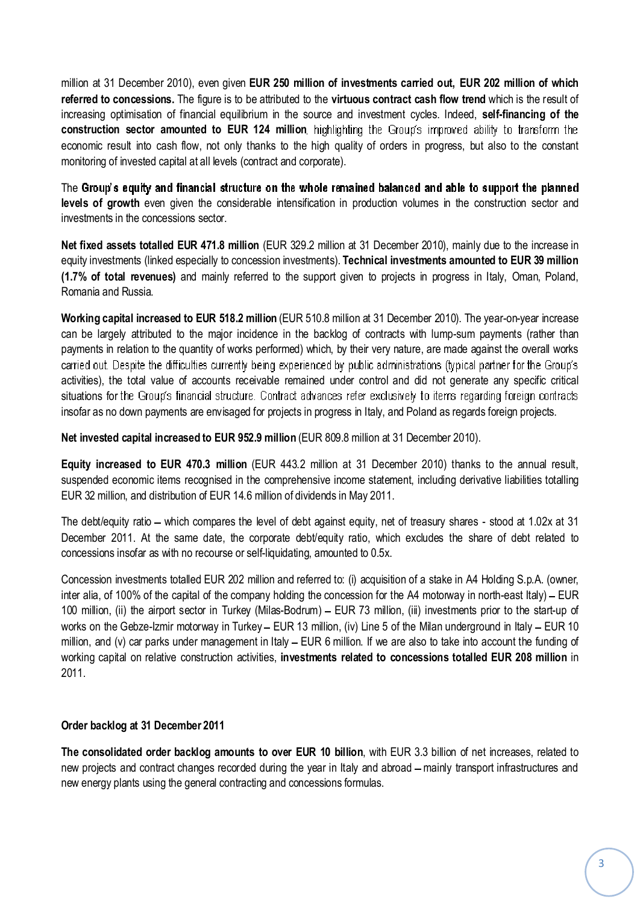million at 31 December 2010), even given EUR 250 million of investments carried out, EUR 202 million of which<br>Treferred to concessions. The figure is to be attributed to the virtuous contract cash flow trend which is the r infinitive terms of the source and investment of the source and investment cash flow trend which is the result of<br>increasing optimisation of financial equilibrium in the source and investment cycles. Indeed, **self-financin construction sector amounted to EUR <sup>124</sup> million** econstruction sector amounted to EUR 124 million, highlighting the Group's improved ability to transform the economic result into cash flow, not only thanks to the high quality of orders in progress, but also to the consta economic result into cash flow, not only thanks to the high quanonitoring of invested capital at all levels (contract and corporate). monitoring of invested capital at all levels (contract and corporate).

The Gr<mark>oup's equity and financial structure on the whole remained balanced and able to support the planned<br>levels of growth even given the considerable intensification in production volumes in the construction sector and</mark> investments of growth even given the concessions sector. investments in the concessions sector

investments in the concessions sector.<br>**Net fixed assets totalled EUR 471.8 million** (EUR 329.2 million at 31 December 2010), mainly due to the increase in<br>equity investments (linked especially to concession investments). **(1.7% of total revenues)** and mainly referred to the support given to projects in progress in Italy, Oman, Poland, equity investments (in<br>(1.7% of total reven<br>Romania and Russia. **Romania and Russia.** 

Romania and Russia.<br>**Working capital increased to EUR 518.2 million** (EUR 510.8 million at 31 December 2010). The year-on-year increase<br>can be largely attributed to the maior incidence in the backlog of contracts with lump payments in relation to the quantity of works performed) which, by their very nature, are made against the overall works performed) which, by their very nature, are made against the overall works payments in relation to the quantity of works performed) which, by their very nature, are made against the overall works payments in relation to the quality of nome pendimities, and then, by their very hatancy are made agained the croicin nome<br>carried out. Despite the difficulties currently being experienced by public administrations (typica odmed out<br>activities), the<br>situations for instructions for the Group's financial structure. Contract advances refer exclusively to items regarding foreign cont<br>insofar as no down payments are envisaged for projects in progress in Italy, and Poland as regards forei insofar as no down payments are envisaged for projects in progress in Italy, and Poland as regards foreign projects.

insofar as no down payments are envisaged for projects in progress in Italy, and Poland as regard:<br><mark>Net invested <mark>capital increased to EUR 952.9 million</mark> (EUR 809.8 million at 31 December 2010).</mark>

Net invested capital increased to EUR 952.9 million (EUR 809.8 million at 31 December 2010).<br>Equity increased to EUR 470.3 million (EUR 443.2 million at 31 December 2010) thanks to the annual result,<br>suspended economic ite Equity interests to EUR there immediately include million of europeople distribution of EUR 32 million, and distribution of EUR 14.6 million of dividends in May 2011. EUR 32 million, and distribution of EUR 14.6 million of dividends in May 2011.

EUR 32 million, and distribution of EUR 14.6 million of dividends in May 2011.<br>The debt/equity ratio – which compares the level of debt against equity, net of treasury shares - stood at 1.02x at 31<br>December 2011. At the sa concessions insofar as with no recourse or self-liquidating, amounted to 0.5x.<br>concessions insofar as with no recourse or self-liquidating, amounted to 0.5x. concessions insofar as with no recourse or self-liquidating, amounted to 0.5x.

concessions insorar as with no recourse or self-liquidating, amounted to 0.5x.<br>Concession investments totalled EUR 202 million and referred to: (i) acquisition of a stake in A4 Holding S.p.A. (owner,<br>inter alia. of 100% of 100 million, (ii) the airport sector in Turkey (Milas-Bodrum) – EUR 73 million, (iii) investments prior to the start-up of<br>100 million, (ii) the airport sector in Turkey (Milas-Bodrum) – EUR 73 million, (iii) investments p was shall on the Gebze-Izmir motorway in Turkey (Milas-Bodrum) – EUR 73 million, (iii) investments prior to the start-up of works on the Gebze-Izmir motorway in Turkey – EUR 13 million, (iv) Line 5 of the Milan underground million, and (v) car parks under management in Italy EUR 13 million, (iv) Line 5 of the Milan underground in Italy – EUR 10<br>million, and (v) car parks under management in Italy – EUR 6 million. If we are also to take into works on the esses term motoring in rankly excrementially, (b) and o on the milan analogedina in tany excrement in the funding of million, and (v) car parks under management in Italy – EUR 6 million. If we are also to take working capital on relative construction activities, investments related to concessions totalled EUR 208 million in  $2011.$ 

## **backlog at <sup>31</sup> December <sup>2011</sup> The**

Order backlog at 31 December 2011<br>The consolidated order backlog amounts to over EUR 10 billion, with EUR 3.3 billion of net increases, related to<br>new projects and contract changes recorded during the vear in Italy and ab new projects and contract changes recorded during the year in Italy and a<br>new energy plants using the general contracting and concessions formulas.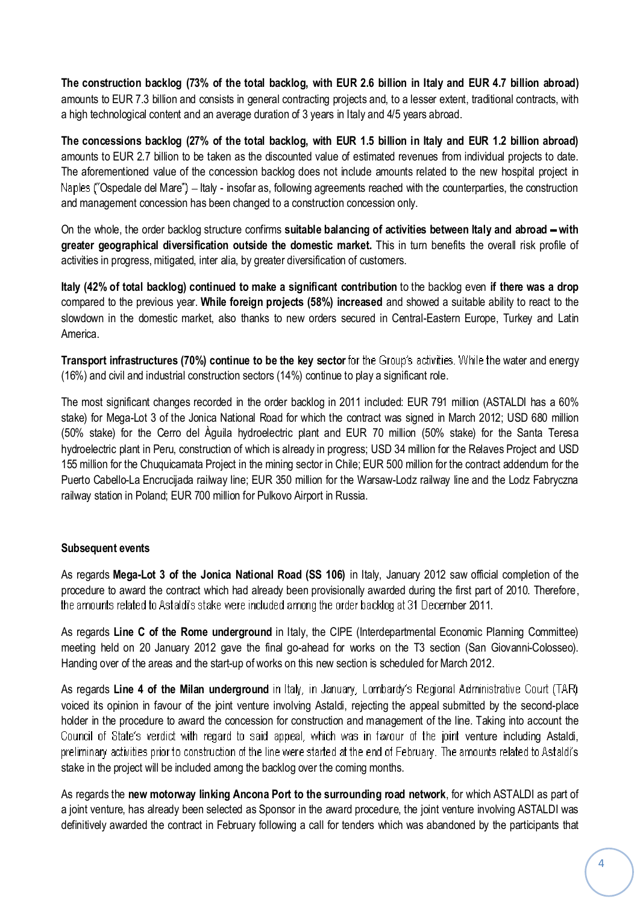The construction backlog (73% of the total backlog, with EUR 2.6 billion in Italy and EUR 4.7 billion abroad)<br>amounts to EUR 7.3 billion and consists in general contracting projects and, to a lesser extent, traditional con a high technological content and an average duration of 3 years in Italy and 4/5 years abroad.<br>A high technological content and an average duration of 3 years in Italy and 4/5 years abroad. a high technological content and an average duration of 3 years in Italy and 4/5 years abroad.

a nigh technological content and an average duration of 3 years in Italy and 4/5 years abroad.<br>The concessions backlog (27% of the total backlog, with EUR 1.5 billion in Italy and EUR 1.2 billion abroad)<br>amounts to EUR 2.7 The schoosteries backing (21% of the columbative), with ECN the billion in harp and ECN the billion abready<br>amounts to EUR 2.7 billion to be taken as the discounted value of estimated revenues from individual projects to d Ospedale del Mare") – Italy - insofar as, following agreements reached with the counterparties, the construction<br>Ospedale del Mare") – Italy - insofar as, following agreements reached with the counterparties, the construct and management concession has been changed to a construction concession only.<br>Alaples ("Ospedale del Mare") – Italy - insofar as, following agreements reached with<br>and management concession has been changed to a constructi and management concession has been changed to a construction concession only.

and management concession nas been cnanged to a construction concession only.<br>On the whole, the order backlog structure confirms suitable balancing of activities between Italy and abroad – with<br>greater geographical diversi greater geographical diversification outside the domestic market. This in activities in progress, mitigated, inter alia, by greater diversification of customers. activities in progress, mitigated, inter alia, by greater diversification of customers.

activities in progress, mitigated, inter alia, by greater diversification of customers.<br>Italy (42% of total backlog) continued to make a significant contribution to the backlog even if there was a drop<br>compared to the prev slowdown in the domestic market, also thanks to new orders secured in Central-Eastern Europe. Turkey and Latin<br>slowdown in the domestic market, also thanks to new orders secured in Central-Eastern Europe, Turkey and Latin slowdown in the domestic market, also thanks to new orders secured in Central-Eastern Europe. Turkey and Latin **America** 

**America.**<br>Transport infrastructures (70%) continue to be the key sector for the Group's activities. While the water and energy<br>(16%) and civil and industrial construction sectors (14%) continue to play a significant role. (16%) and civil and industrial construction sectors (14%) continue to play a significant role.

(16%) and civil and industrial construction sectors (14%) continue to play a significant role.<br>The most significant changes recorded in the order backlog in 2011 included: EUR 791 million (ASTALDI has a 60%<br>stake) for Mega (50% stake) for Mega-Lot 3 of the Jonica National Road for which the contract was signed in March 2012; USD 680 million (50% stake) for the Cerro del Aquila hydroelectric plant and EUR 70 million (50% stake) for the Santa hency for magarizer of the cerror content transition from the constructions of syncal in material of the Santa Teresa<br>(50% stake) for the Cerror del Aguila hydroelectric plant and EUR 70 million (50% stake) for the Santa T 155 million for the Chuquicamata Project in the mining sector in Chile; EUR 500 million for the Relaves Project and USD<br>155 million for the Chuquicamata Project in the mining sector in Chile; EUR 500 million for the contra Pusticularly plant in Ford, concreded by million carbady in progress, code of million for the contract addendum for the<br>155 million for the Chuquicamata Project in the mining sector in Chile; EUR 500 million for the contra railway station in Poland; extending the polanding of the Warehorto Cabello-La Encrucijada railway line; EUR 350 million for the Warehortal railway station in Poland: EUR 700 million for Pulkovo Airport in Russia.

## Subsequent events

Subsequent events<br>As regards Mega-Lot 3 of the Jonica National Road (SS 106) in Italy, January 2012 saw official completion of the<br>procedure to award the contract which had already been provisionally awarded during the fir ber 2011.<br>ber 2011. the amounts related to Astaldi's stake were included among the order backlog at 31 December 2011.

the arnounts related to Astaldi's stake were included arnong the order backlog at 31 December 2011.<br>As regards Line C of the Rome underground in Italy, the CIPE (Interdepartmental Economic Planning Committee)<br>meeting held Handing held on 20 January 2012 gave the final go-ahead for works on the T3 section (San C<br>Handing over of the areas and the start-up of works on this new section is scheduled for March 2012. Handing over of the areas and the start-up of works on this new section is scheduled for March 2012.

Handing over of the areas and the start-up of works on this new section is scheduled for March 2012.<br>As regards **Line 4 of the Milan underground** in Italy, in January, Lombardy's Regional Administrative Court (TAR)<br>voiced holder in the procedure to award the concession for construction and management of the line. Taking into account the<br>holder in the procedure to award the concession for construction and management of the line. Taking into wear by the become place<br>e. Taking into account the<br>venture including Astaldi. Council of State's verdict with regard to said appeal, which was in favour of the joint venture including Astaldi, station of the project will be included among the backlog over the coming months.<br>Stake in the project will be included among the backlog over the coming months. stake in the project will be included among the backlog over the coming months.

stake in the project will be included among the backlog over the coming months.<br>As regards the new motorway linking Ancona Port to the surrounding road network, for which ASTALDI as part of<br>a ioint venture, has already bee definitively awarded the contract in February following a call for tenders which was abandoned by the participants that<br>definitively awarded the contract in February following a call for tenders which was abandoned by the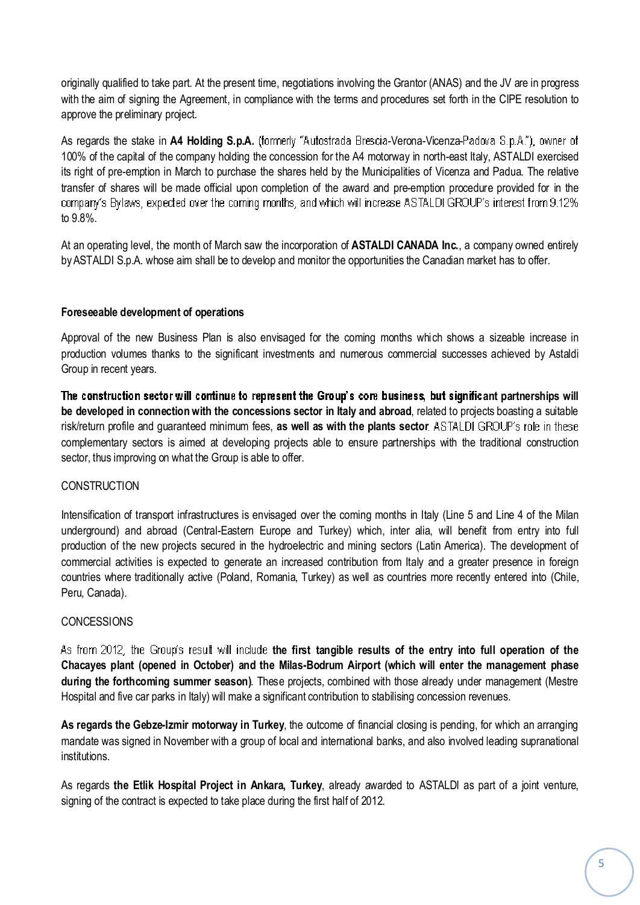originally qualified to take part. At the present time, negotiations involving the Grantor (ANAS) and the JV are in progress<br>with the aim of signing the Agreement, in compliance with the terms and procedures set forth in t enginarity qualified to take parts?<br>with the aim of signing the Agre<br>approve the preliminary project. approve the preliminary project.

approve the preiminary project.<br>As regards the stake in **A4 Holding S.p.A.** (formerly «Autostrada Brescia-Verona-Vicenza-Padova S.p.A.»), owner of<br>100% of the capital of the company holding the concession for the A4 motorw Its right of the capital of the company holding the concession for the A4 motorway in north-east Italy, ASTALDI exercised<br>its right of pre-emption in March to purchase the shares held by the Municipalities of Vicenza and P The control of the supplet of the company motting the concedent for the AT metal and provided the y, he made concedue<br>transfer of shares will be made official upon completion of the award and pre-emption procedure provided transfer of shares will be made official upon completion of the award and pre-emption procedure provided for in the company's Bylaws, expected over the coming months, and which will increase ASTALDI<br>to 9.8%. to  $9.8\%$ 

το 9.8%.<br>At an operating level, the month of March saw the incorporation of **ASTALDI CANADA Inc.**, a company owned entirely<br>bv ASTALDI S.p.A. whose aim shall be to develop and monitor the opportunities the Canadian marke

## **Foreseeable development of operations**

Foreseeable development of operations<br>Approval of the new Business Plan is also envisaged for the coming months which shows a sizeable increase in<br>production volumes thanks to the significant investments and numerous comme reproces of the non-<br>production volumes the<br>Group in recent vears.

פרסטף וח recent years.<br>The construction sector will continue to represent the Group's core business, but significant partnerships will<br>be developed in connection with the concessions sector in Italv and abroad, related to risk/return profile and guaranteed minimum fees, **as well as with the plants sector** complementary sectors is aimed at developing projects able to ensure partnerships with the raditional construction<br>complementary sectors is aimed at developing projects able to ensure partnerships with the traditional cons sector, thus improving on what the Group is able to offer.<br>Sector, thus improving on what the Group is able to offer. sector, thus improving on what the Group is able to offer.

#### CONSTRUCTION

 of transport infrastructures is envisaged over the coming months in Italy (Line <sup>5</sup> and Line <sup>4</sup> of the Milan underground) and abroad (Central-Eastern Europe and Turkey) which, inter alia, will benefit from entry into full production of the new projects secured in the hydroelectric and mining months in half (Line of the Line 1 of the mining underground) and abroad (Central-Eastern Europe and Turkey) which, inter alia, will benefit from entry production of the new projects secured in the hydroelectric and mining sectors (Latin America). The development of production of the new projects secured in the hydroelectric and mining sectors (Latin America). The development of commercial activities is expected to generate an increased contribution from Italy and a greater presence i commercian det<br>countries where<br>Peru, Canada). Peru, Canada).

#### **CONCESSIONS**

CONCESSIONS<br>As from 2012, the Group's result will include the first tangible results of the entry into full operation of the<br>Chacaves plant (opened in October) and the Milas-Bodrum Airport (which will enter the management **during the forthcoming summer season)**. These projects, combined with those already under management (Mestre Hospital and five car parks in Italy) will make a significant contribution to stabilising concession revenues.<br>Hospital and five car parks in Italy) will make a significant contribution to stabilising concession revenues. Hospital and five car parks in Italy) will make a significant contribution to stabilising concession revenues.

riospital and live car parks in italy) will make a significant contribution to stabilishig concession reventies.<br>As regards the Gebze-Izmir motorway in Turkey, the outcome of financial closing is pending, for which an arra mandate was signed in November with a group of local and international banks, and also involved leading supranational institutions.

mstitutions.<br>As regards **the Etlik Hospital Project in Ankara, Turkey**, already awarded to ASTALDI as part of a joint venture,<br>signing of the contract is expected to take place during the first half of 2012.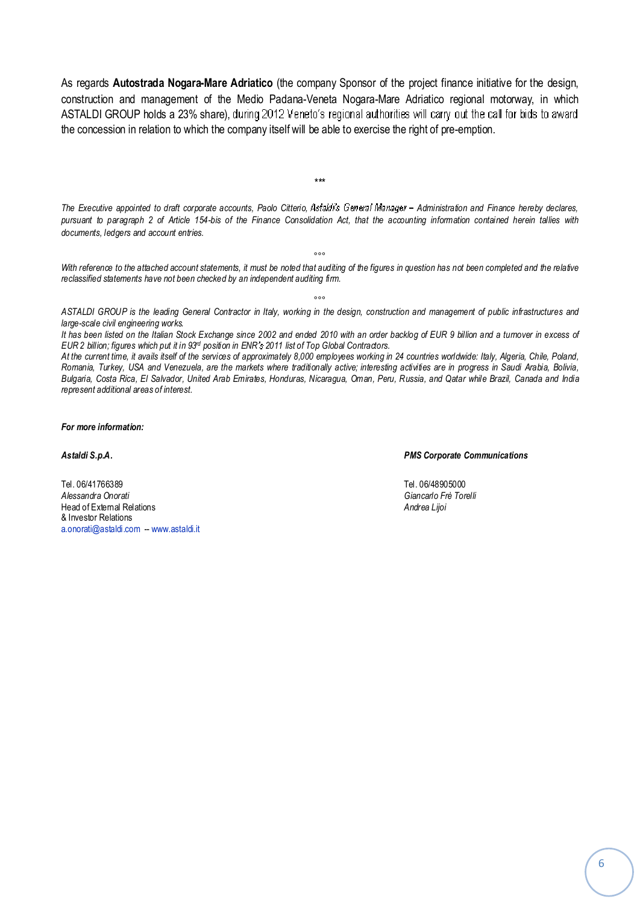As regards **Autostrada Nogara-Mare Adriatico** (the company Sponsor of the project finance initiative for the design,<br>construction and management of the Medio Padana-Veneta Nogara-Mare Adriatico regional motorway, in which As regards reaced and regard mare<br>construction and management of the<br>ASTALDI GROUP holds a 23% share). schondshort and management of the meals I duana venetal regard male Admards Tegronal in<br>ASTALDI GROUP holds a 23% share), during 2012 Veneto's regional authorities will carry out the ca<br>the concession in relation to which

The Executive appointed to draft corporate accounts, Paolo Citterio, Astakti's General Manager – Administration and Finance hereby declares,<br>pursuant to paragraph 2 of Article 154-bis of the Finance Consolidation Act. that The Executive appointed to than corpor<br>pursuant to paragraph 2 of Article 15<br>documents. ledgers and account entries.

 $+ +$ 

ese .<br>With reference to the attached account statements, it must be noted that auditing of the figures in question has not been completed and the relative<br>reclassified statements have not been checked by an independent au reclassified statements have not been checked by an independent auditing firm.

esseries of the leading General Contractor in Italy, working in the design, construction and management of public infrastructures and large-scale civil engineering works. ASTALDI GROUP is the leading General Contractor in Italy, working in the design, construction and management of public infrastructures and<br>large-scale civil engineering works.<br>It has been listed on the Italian Stock Exchan large-scale civil engineering works.

large-scale civil engineering works.<br>It has been listed on the Italian Stock Exchange since 2002 and ended 2010 with an order<br>EUR 2 billion; figures which put it in 93<sup>d</sup> position in ENR's 2011 list of Top Global Contracto has been listed on the Italian Stock Exchange since 2002 and ended 2010 with an order backlog of EUR 9 billion and a turnover in excess of<br>JR 2 billion; figures which put it in 93ª position in ENR's 2011 list of Top Global

EUR 2 billion; tigures which put it in 93º position in ENR's 2011 list of Top Global Contractors.<br>At the current time, it avails itself of the services of approximately 8,000 employees working in 24 countries worldwide: It Attne currenttime, it avails itself of the services of approximately 8,000 employees working in 24 countries worldwide: Italy, Algeria, Chile, Poland,<br>Romania, Turkey, USA and Venezuela, are the markets where traditionally Bulgaria, Costa Rica, El Salvador, United Arab Emirates, Honduras, Nicaragua, Oman, Peru, Russia, and Qatar while Brazil, Canada and India<br>represent additional areas of interest.

**more information:**

**S.p.A. PMS Corporate Communications**

 06/41766389 Tel. 06/48905000 Tel. 06/41766389 omati Giancarlo Free Constitution of the Constitution of the Constitution of the Constitution of Giancarlo Fre<br>Constantinople of the Constitution of Giancarlo Free Torelli Alessandra Onorati of External Relations Andrea Lijoi A*iessariura Oriorati*<br>Head of External Relat<br>& Investor Relations a.onorati@astaldi.com -- www.astaldi.it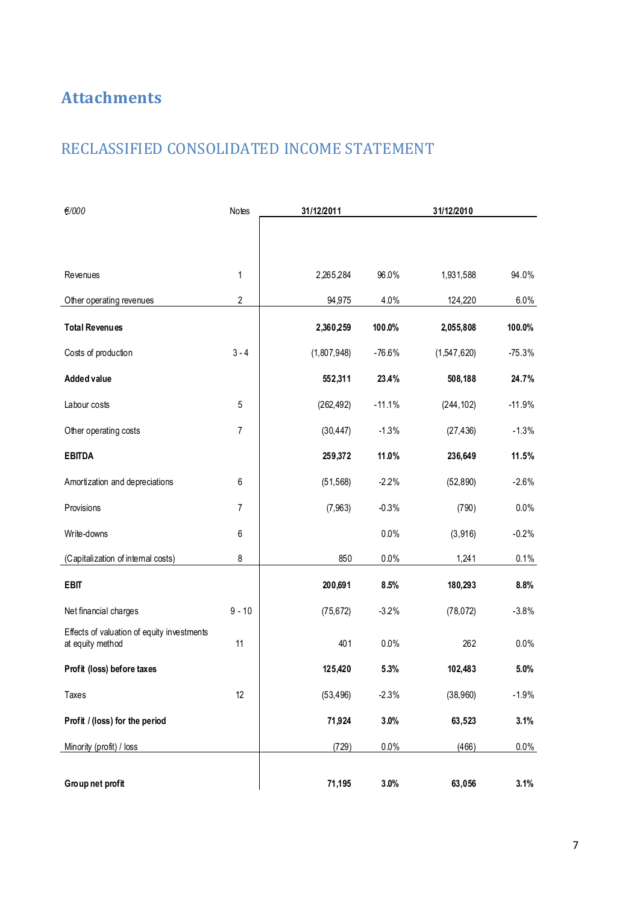## **Attachments**

### RECLASSIFIED CONSOLIDATED INCOME STATEMENT

| €/000                                                          | Notes    | 31/12/2011  |          | 31/12/2010  |          |
|----------------------------------------------------------------|----------|-------------|----------|-------------|----------|
|                                                                |          |             |          |             |          |
| Revenues                                                       | 1        | 2,265,284   | 96.0%    | 1,931,588   | 94.0%    |
| Other operating revenues                                       | 2        | 94,975      | 4.0%     | 124,220     | 6.0%     |
| <b>Total Revenues</b>                                          |          | 2,360,259   | 100.0%   | 2,055,808   | 100.0%   |
| Costs of production                                            | $3 - 4$  | (1,807,948) | $-76.6%$ | (1,547,620) | $-75.3%$ |
| Added value                                                    |          | 552,311     | 23.4%    | 508,188     | 24.7%    |
| Labour costs                                                   | 5        | (262, 492)  | $-11.1%$ | (244, 102)  | $-11.9%$ |
| Other operating costs                                          | 7        | (30, 447)   | $-1.3%$  | (27, 436)   | $-1.3%$  |
| <b>EBITDA</b>                                                  |          | 259,372     | 11.0%    | 236,649     | 11.5%    |
| Amortization and depreciations                                 | 6        | (51, 568)   | $-2.2%$  | (52, 890)   | $-2.6%$  |
| Provisions                                                     | 7        | (7, 963)    | $-0.3%$  | (790)       | $0.0\%$  |
| Write-downs                                                    | 6        |             | 0.0%     | (3,916)     | $-0.2%$  |
| (Capitalization of internal costs)                             | 8        | 850         | 0.0%     | 1,241       | 0.1%     |
| <b>EBIT</b>                                                    |          | 200,691     | 8.5%     | 180,293     | 8.8%     |
| Net financial charges                                          | $9 - 10$ | (75, 672)   | $-3.2%$  | (78, 072)   | $-3.8%$  |
| Effects of valuation of equity investments<br>at equity method | 11       | 401         | 0.0%     | 262         | 0.0%     |
| Profit (loss) before taxes                                     |          | 125,420     | 5.3%     | 102,483     | 5.0%     |
| Taxes                                                          | 12       | (53, 496)   | $-2.3%$  | (38,960)    | $-1.9%$  |
| Profit / (loss) for the period                                 |          | 71,924      | 3.0%     | 63,523      | 3.1%     |
| Minority (profit) / loss                                       |          | (729)       | 0.0%     | (466)       | $0.0\%$  |
| Group net profit                                               |          | 71,195      | 3.0%     | 63,056      | 3.1%     |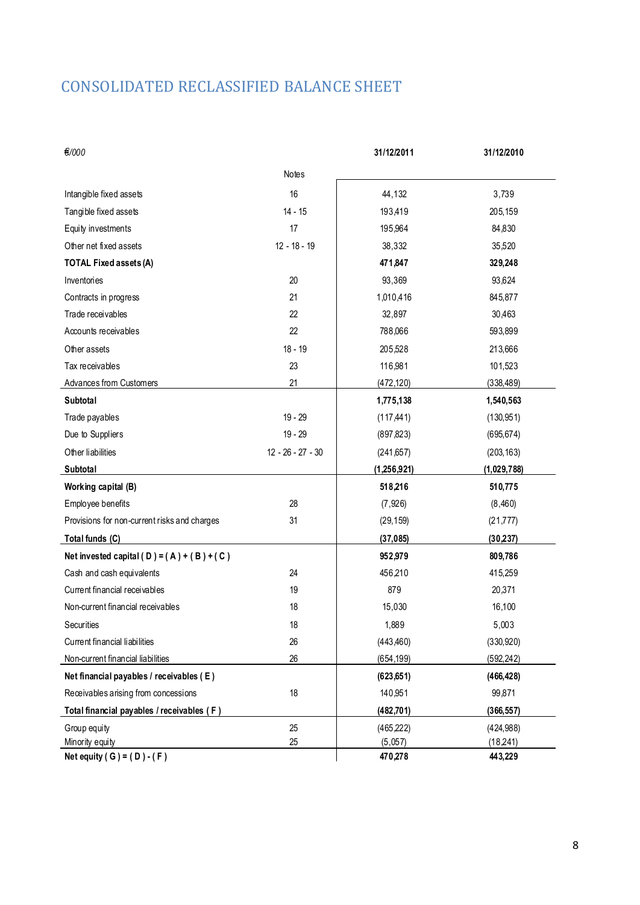## CONSOLIDATED RECLASSIFIED BALANCE SHEET

| €/000                                        |                     | 31/12/2011  | 31/12/2010  |
|----------------------------------------------|---------------------|-------------|-------------|
|                                              | <b>Notes</b>        |             |             |
| Intangible fixed assets                      | 16                  | 44,132      | 3,739       |
| Tangible fixed assets                        | $14 - 15$           | 193,419     | 205,159     |
| Equity investments                           | 17                  | 195,964     | 84,830      |
| Other net fixed assets                       | $12 - 18 - 19$      | 38,332      | 35,520      |
| <b>TOTAL Fixed assets (A)</b>                |                     | 471,847     | 329,248     |
| Inventories                                  | 20                  | 93,369      | 93,624      |
| Contracts in progress                        | 21                  | 1,010,416   | 845,877     |
| Trade receivables                            | 22                  | 32,897      | 30,463      |
| Accounts receivables                         | 22                  | 788,066     | 593,899     |
| Other assets                                 | $18 - 19$           | 205,528     | 213,666     |
| Tax receivables                              | 23                  | 116,981     | 101,523     |
| Advances from Customers                      | 21                  | (472, 120)  | (338, 489)  |
| Subtotal                                     |                     | 1,775,138   | 1,540,563   |
| Trade payables                               | $19 - 29$           | (117, 441)  | (130, 951)  |
| Due to Suppliers                             | $19 - 29$           | (897, 823)  | (695, 674)  |
| Other liabilities                            | $12 - 26 - 27 - 30$ | (241, 657)  | (203, 163)  |
| Subtotal                                     |                     | (1,256,921) | (1,029,788) |
| Working capital (B)                          |                     | 518,216     | 510,775     |
| Employee benefits                            | 28                  | (7, 926)    | (8,460)     |
| Provisions for non-current risks and charges | 31                  | (29, 159)   | (21, 777)   |
| Total funds (C)                              |                     | (37, 085)   | (30, 237)   |
| Net invested capital (D) = $(A) + (B) + (C)$ |                     | 952,979     | 809,786     |
| Cash and cash equivalents                    | 24                  | 456,210     | 415,259     |
| Current financial receivables                | 19                  | 879         | 20,371      |
| Non-current financial receivables            | 18                  | 15,030      | 16,100      |
| Securities                                   | 18                  | 1,889       | 5,003       |
| Current financial liabilities                | 26                  | (443, 460)  | (330, 920)  |
| Non-current financial liabilities            | 26                  | (654, 199)  | (592, 242)  |
| Net financial payables / receivables (E)     |                     | (623, 651)  | (466, 428)  |
| Receivables arising from concessions         | 18                  | 140,951     | 99,871      |
| Total financial payables / receivables (F)   |                     | (482, 701)  | (366, 557)  |
| Group equity                                 | 25                  | (465, 222)  | (424, 988)  |
| Minority equity                              | 25                  | (5,057)     | (18, 241)   |
| Net equity (G) = $(D) - (F)$                 |                     | 470,278     | 443,229     |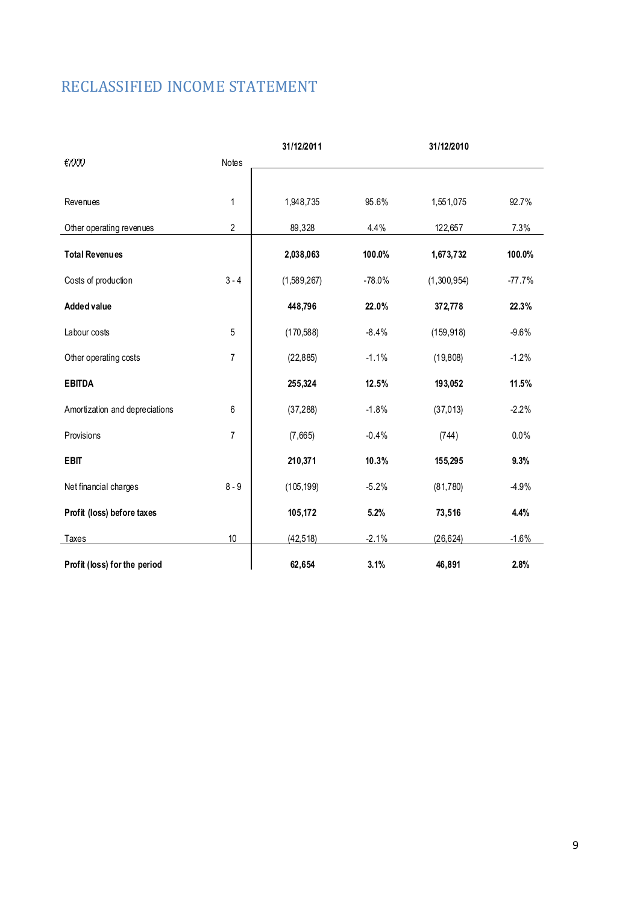## RECLASSIFIED INCOME STATEMENT

| €/000                          | Notes          | 31/12/2011  |          | 31/12/2010  |          |
|--------------------------------|----------------|-------------|----------|-------------|----------|
|                                |                |             |          |             |          |
| Revenues                       | 1              | 1,948,735   | 95.6%    | 1,551,075   | 92.7%    |
| Other operating revenues       | $\overline{2}$ | 89,328      | 4.4%     | 122,657     | 7.3%     |
| <b>Total Revenues</b>          |                | 2,038,063   | 100.0%   | 1,673,732   | 100.0%   |
| Costs of production            | $3 - 4$        | (1,589,267) | $-78.0%$ | (1,300,954) | $-77.7%$ |
| <b>Added value</b>             |                | 448,796     | 22.0%    | 372,778     | 22.3%    |
| Labour costs                   | 5              | (170, 588)  | $-8.4%$  | (159, 918)  | $-9.6%$  |
| Other operating costs          | $\overline{7}$ | (22, 885)   | $-1.1%$  | (19, 808)   | $-1.2%$  |
| <b>EBITDA</b>                  |                | 255,324     | 12.5%    | 193,052     | 11.5%    |
| Amortization and depreciations | 6              | (37, 288)   | $-1.8%$  | (37, 013)   | $-2.2%$  |
| Provisions                     | $\overline{7}$ | (7,665)     | $-0.4%$  | (744)       | 0.0%     |
| <b>EBIT</b>                    |                | 210,371     | 10.3%    | 155,295     | 9.3%     |
| Net financial charges          | $8 - 9$        | (105, 199)  | $-5.2%$  | (81, 780)   | $-4.9%$  |
| Profit (loss) before taxes     |                | 105,172     | 5.2%     | 73,516      | 4.4%     |
| Taxes                          | 10             | (42, 518)   | $-2.1%$  | (26, 624)   | $-1.6%$  |
| Profit (loss) for the period   |                | 62,654      | 3.1%     | 46,891      | 2.8%     |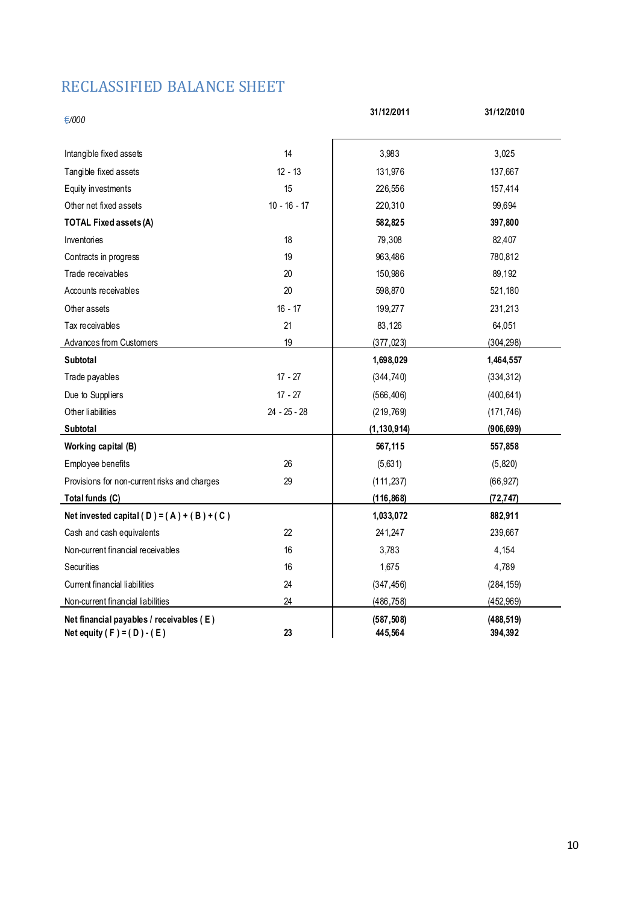### RECLASSIFIED BALANCE SHEET

| €/000                                                                              |                | 31/12/2011            | 31/12/2010            |
|------------------------------------------------------------------------------------|----------------|-----------------------|-----------------------|
| Intangible fixed assets                                                            | 14             | 3,983                 | 3,025                 |
| Tangible fixed assets                                                              | $12 - 13$      | 131,976               | 137,667               |
| Equity investments                                                                 | 15             | 226,556               | 157,414               |
| Other net fixed assets                                                             | $10 - 16 - 17$ | 220,310               | 99,694                |
| <b>TOTAL Fixed assets (A)</b>                                                      |                | 582,825               | 397,800               |
| Inventories                                                                        | 18             | 79,308                | 82,407                |
| Contracts in progress                                                              | 19             | 963,486               | 780,812               |
| Trade receivables                                                                  | 20             | 150,986               | 89,192                |
| Accounts receivables                                                               | 20             | 598,870               | 521,180               |
| Other assets                                                                       | $16 - 17$      | 199,277               | 231,213               |
| Tax receivables                                                                    | 21             | 83,126                | 64,051                |
| Advances from Customers                                                            | 19             | (377, 023)            | (304, 298)            |
| <b>Subtotal</b>                                                                    |                | 1,698,029             | 1,464,557             |
| Trade payables                                                                     | $17 - 27$      | (344, 740)            | (334, 312)            |
| Due to Suppliers                                                                   | $17 - 27$      | (566, 406)            | (400, 641)            |
| Other liabilities                                                                  | $24 - 25 - 28$ | (219, 769)            | (171, 746)            |
| Subtotal                                                                           |                | (1, 130, 914)         | (906, 699)            |
| Working capital (B)                                                                |                | 567,115               | 557,858               |
| Employee benefits                                                                  | 26             | (5,631)               | (5,820)               |
| Provisions for non-current risks and charges                                       | 29             | (111, 237)            | (66, 927)             |
| Total funds (C)                                                                    |                | (116, 868)            | (72, 747)             |
| Net invested capital (D) = $(A) + (B) + (C)$                                       |                | 1,033,072             | 882,911               |
| Cash and cash equivalents                                                          | 22             | 241,247               | 239,667               |
| Non-current financial receivables                                                  | 16             | 3,783                 | 4,154                 |
| <b>Securities</b>                                                                  | 16             | 1,675                 | 4,789                 |
| Current financial liabilities                                                      | 24             | (347, 456)            | (284, 159)            |
| Non-current financial liabilities                                                  | 24             | (486, 758)            | (452, 969)            |
| Net financial payables / receivables (E)<br>Net equity ( $F$ ) = ( $D$ ) - ( $E$ ) | 23             | (587, 508)<br>445.564 | (488, 519)<br>394.392 |